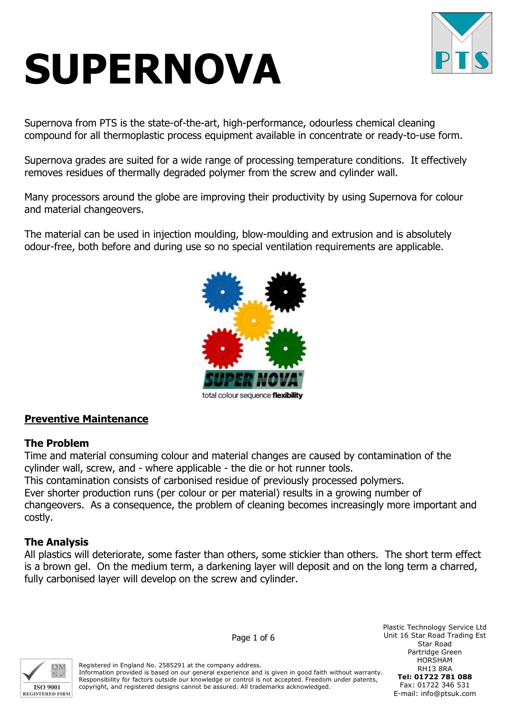# SUPERNOVA



Supernova from PTS is the state-of-the-art, high-performance, odourless chemical cleaning compound for all thermoplastic process equipment available in concentrate or ready-to-use form.

Supernova grades are suited for a wide range of processing temperature conditions. It effectively removes residues of thermally degraded polymer from the screw and cylinder wall.

Many processors around the globe are improving their productivity by using Supernova for colour and material changeovers.

The material can be used in injection moulding, blow-moulding and extrusion and is absolutely odour-free, both before and during use so no special ventilation requirements are applicable.



total colour sequence flexibility

## Preventive Maintenance

## The Problem

Time and material consuming colour and material changes are caused by contamination of the cylinder wall, screw, and - where applicable - the die or hot runner tools.

This contamination consists of carbonised residue of previously processed polymers.

Ever shorter production runs (per colour or per material) results in a growing number of changeovers. As a consequence, the problem of cleaning becomes increasingly more important and costly.

## The Analysis

All plastics will deteriorate, some faster than others, some stickier than others. The short term effect is a brown gel. On the medium term, a darkening layer will deposit and on the long term a charred, fully carbonised layer will develop on the screw and cylinder.



Page 1 of 6

Registered in England No. 2585291 at the company address. Information provided is based on our general experience and is given in good faith without warranty. Responsibility for factors outside our knowledge or control is not accepted. Freedom under patents, copyright, and registered designs cannot be assured. All trademarks acknowledged.

Plastic Technology Service Ltd Unit 16 Star Road Trading Est Star Road Partridge Green HORSHAM RH13 8RA Tel: 01722 781 088 Fax: 01722 346 531 E-mail: info@ptsuk.com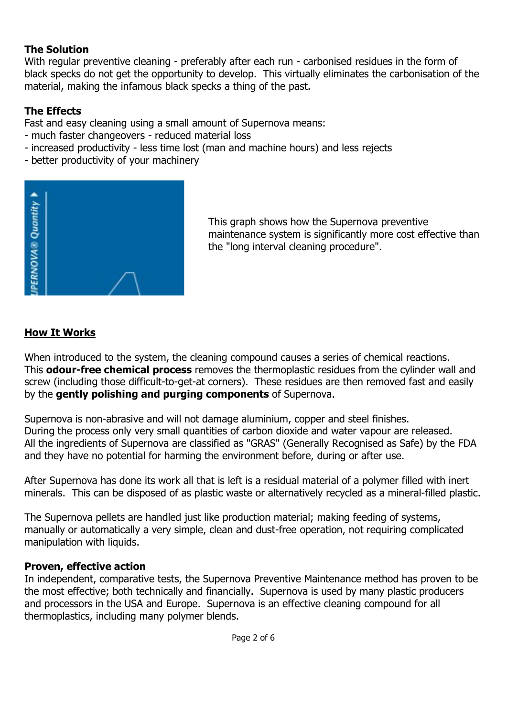## The Solution

With regular preventive cleaning - preferably after each run - carbonised residues in the form of black specks do not get the opportunity to develop. This virtually eliminates the carbonisation of the material, making the infamous black specks a thing of the past.

# The Effects

Fast and easy cleaning using a small amount of Supernova means:

- much faster changeovers reduced material loss
- increased productivity less time lost (man and machine hours) and less rejects
- better productivity of your machinery



This graph shows how the Supernova preventive maintenance system is significantly more cost effective than the "long interval cleaning procedure".

# How It Works

When introduced to the system, the cleaning compound causes a series of chemical reactions. This **odour-free chemical process** removes the thermoplastic residues from the cylinder wall and screw (including those difficult-to-get-at corners). These residues are then removed fast and easily by the gently polishing and purging components of Supernova.

Supernova is non-abrasive and will not damage aluminium, copper and steel finishes. During the process only very small quantities of carbon dioxide and water vapour are released. All the ingredients of Supernova are classified as "GRAS" (Generally Recognised as Safe) by the FDA and they have no potential for harming the environment before, during or after use.

After Supernova has done its work all that is left is a residual material of a polymer filled with inert minerals. This can be disposed of as plastic waste or alternatively recycled as a mineral-filled plastic.

The Supernova pellets are handled just like production material; making feeding of systems, manually or automatically a very simple, clean and dust-free operation, not requiring complicated manipulation with liquids.

# Proven, effective action

In independent, comparative tests, the Supernova Preventive Maintenance method has proven to be the most effective; both technically and financially. Supernova is used by many plastic producers and processors in the USA and Europe. Supernova is an effective cleaning compound for all thermoplastics, including many polymer blends.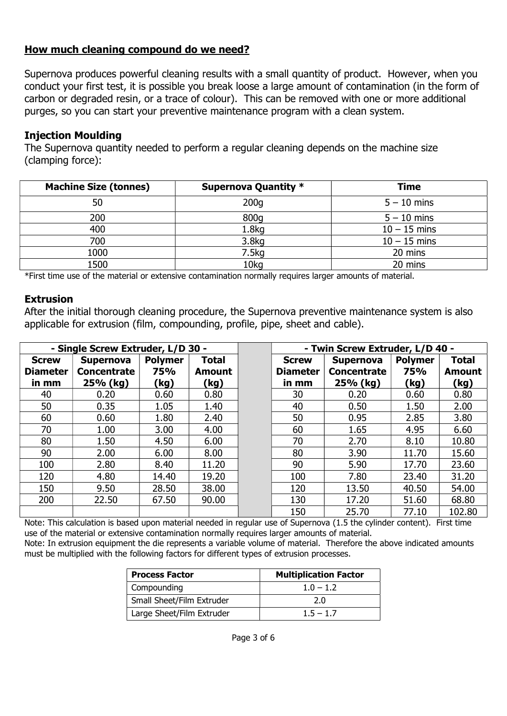## How much cleaning compound do we need?

Supernova produces powerful cleaning results with a small quantity of product. However, when you conduct your first test, it is possible you break loose a large amount of contamination (in the form of carbon or degraded resin, or a trace of colour). This can be removed with one or more additional purges, so you can start your preventive maintenance program with a clean system.

## Injection Moulding

The Supernova quantity needed to perform a regular cleaning depends on the machine size (clamping force):

| <b>Machine Size (tonnes)</b> | Supernova Quantity * | <b>Time</b>    |
|------------------------------|----------------------|----------------|
| 50                           | 200q                 | $5 - 10$ mins  |
| 200                          | 800g                 | $5 - 10$ mins  |
| 400                          | 1.8 <sub>g</sub>     | $10 - 15$ mins |
| 700                          | 3.8 <sub>kq</sub>    | $10 - 15$ mins |
| 1000                         | 7.5kg                | 20 mins        |
| 1500                         | 10kg                 | 20 mins        |

\*First time use of the material or extensive contamination normally requires larger amounts of material.

## Extrusion

After the initial thorough cleaning procedure, the Supernova preventive maintenance system is also applicable for extrusion (film, compounding, profile, pipe, sheet and cable).

| - Single Screw Extruder, L/D 30 -        |                                                    |                                      |                                       | - Twin Screw Extruder, L/D 40 -          |                                                    |                                      |                                       |
|------------------------------------------|----------------------------------------------------|--------------------------------------|---------------------------------------|------------------------------------------|----------------------------------------------------|--------------------------------------|---------------------------------------|
| <b>Screw</b><br><b>Diameter</b><br>in mm | <b>Supernova</b><br><b>Concentrate</b><br>25% (kg) | <b>Polymer</b><br><b>75%</b><br>(kg) | <b>Total</b><br><b>Amount</b><br>(kg) | <b>Screw</b><br><b>Diameter</b><br>in mm | <b>Supernova</b><br><b>Concentrate</b><br>25% (kg) | <b>Polymer</b><br><b>75%</b><br>(kg) | <b>Total</b><br><b>Amount</b><br>(kg) |
| 40                                       | 0.20                                               | 0.60                                 | 0.80                                  | 30                                       | 0.20                                               | 0.60                                 | 0.80                                  |
| 50                                       | 0.35                                               | 1.05                                 | 1.40                                  | 40                                       | 0.50                                               | 1.50                                 | 2.00                                  |
| 60                                       | 0.60                                               | 1.80                                 | 2.40                                  | 50                                       | 0.95                                               | 2.85                                 | 3.80                                  |
| 70                                       | 1.00                                               | 3.00                                 | 4.00                                  | 60                                       | 1.65                                               | 4.95                                 | 6.60                                  |
| 80                                       | 1.50                                               | 4.50                                 | 6.00                                  | 70                                       | 2.70                                               | 8.10                                 | 10.80                                 |
| 90                                       | 2.00                                               | 6.00                                 | 8.00                                  | 80                                       | 3.90                                               | 11.70                                | 15.60                                 |
| 100                                      | 2.80                                               | 8.40                                 | 11.20                                 | 90                                       | 5.90                                               | 17.70                                | 23.60                                 |
| 120                                      | 4.80                                               | 14.40                                | 19.20                                 | 100                                      | 7.80                                               | 23.40                                | 31.20                                 |
| 150                                      | 9.50                                               | 28.50                                | 38.00                                 | 120                                      | 13.50                                              | 40.50                                | 54.00                                 |
| 200                                      | 22.50                                              | 67.50                                | 90.00                                 | 130                                      | 17.20                                              | 51.60                                | 68.80                                 |
|                                          |                                                    |                                      |                                       | 150                                      | 25.70                                              | 77.10                                | 102.80                                |

Note: This calculation is based upon material needed in regular use of Supernova (1.5 the cylinder content). First time use of the material or extensive contamination normally requires larger amounts of material. Note: In extrusion equipment the die represents a variable volume of material. Therefore the above indicated amounts must be multiplied with the following factors for different types of extrusion processes.

| <b>Process Factor</b>     | <b>Multiplication Factor</b> |
|---------------------------|------------------------------|
| Compounding               | $1.0 - 1.2$                  |
| Small Sheet/Film Extruder | 2.0                          |
| Large Sheet/Film Extruder | $1.5 - 1.7$                  |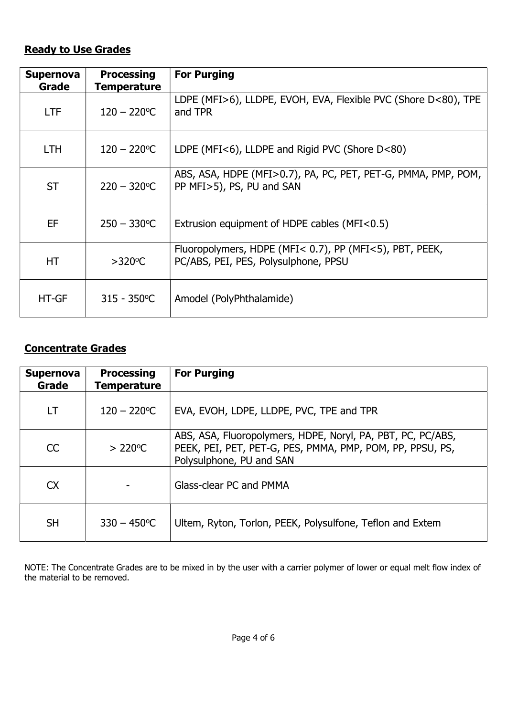# Ready to Use Grades

| <b>Supernova</b><br>Grade | <b>Processing</b><br><b>Temperature</b> | <b>For Purging</b>                                                                              |
|---------------------------|-----------------------------------------|-------------------------------------------------------------------------------------------------|
| <b>LTF</b>                | $120 - 220$ °C                          | LDPE (MFI>6), LLDPE, EVOH, EVA, Flexible PVC (Shore D<80), TPE<br>and TPR                       |
| <b>LTH</b>                | $120 - 220$ °C                          | LDPE (MFI<6), LLDPE and Rigid PVC (Shore D<80)                                                  |
| <b>ST</b>                 | $220 - 320^{\circ}C$                    | ABS, ASA, HDPE (MFI>0.7), PA, PC, PET, PET-G, PMMA, PMP, POM,<br>PP MFI>5), PS, PU and SAN      |
| <b>EF</b>                 | $250 - 330^{\circ}C$                    | Extrusion equipment of HDPE cables (MFI<0.5)                                                    |
| НT                        | $>320^{\circ}$ C                        | Fluoropolymers, HDPE (MFI< 0.7), PP (MFI<5), PBT, PEEK,<br>PC/ABS, PEI, PES, Polysulphone, PPSU |
| <b>HT-GF</b>              | $315 - 350^{\circ}C$                    | Amodel (PolyPhthalamide)                                                                        |

## Concentrate Grades

| <b>Supernova</b><br>Grade | <b>Processing</b><br><b>Temperature</b> | <b>For Purging</b>                                                                                                                                   |
|---------------------------|-----------------------------------------|------------------------------------------------------------------------------------------------------------------------------------------------------|
| LT.                       | $120 - 220$ °C                          | EVA, EVOH, LDPE, LLDPE, PVC, TPE and TPR                                                                                                             |
| CC                        | $>220^{\circ}$ C                        | ABS, ASA, Fluoropolymers, HDPE, Noryl, PA, PBT, PC, PC/ABS,<br>PEEK, PEI, PET, PET-G, PES, PMMA, PMP, POM, PP, PPSU, PS,<br>Polysulphone, PU and SAN |
| <b>CX</b>                 |                                         | Glass-clear PC and PMMA                                                                                                                              |
| <b>SH</b>                 | $330 - 450$ °C                          | Ultem, Ryton, Torlon, PEEK, Polysulfone, Teflon and Extem                                                                                            |

NOTE: The Concentrate Grades are to be mixed in by the user with a carrier polymer of lower or equal melt flow index of the material to be removed.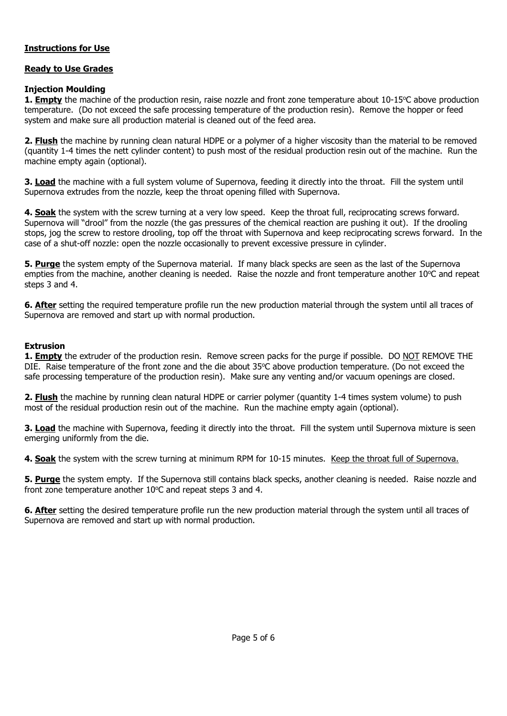#### Instructions for Use

#### Ready to Use Grades

#### Injection Moulding

**1. Empty** the machine of the production resin, raise nozzle and front zone temperature about  $10\n-15^{\circ}$ C above production temperature. (Do not exceed the safe processing temperature of the production resin). Remove the hopper or feed system and make sure all production material is cleaned out of the feed area.

2. Flush the machine by running clean natural HDPE or a polymer of a higher viscosity than the material to be removed (quantity 1-4 times the nett cylinder content) to push most of the residual production resin out of the machine. Run the machine empty again (optional).

3. Load the machine with a full system volume of Supernova, feeding it directly into the throat. Fill the system until Supernova extrudes from the nozzle, keep the throat opening filled with Supernova.

4. Soak the system with the screw turning at a very low speed. Keep the throat full, reciprocating screws forward. Supernova will "drool" from the nozzle (the gas pressures of the chemical reaction are pushing it out). If the drooling stops, jog the screw to restore drooling, top off the throat with Supernova and keep reciprocating screws forward. In the case of a shut-off nozzle: open the nozzle occasionally to prevent excessive pressure in cylinder.

5. Purge the system empty of the Supernova material. If many black specks are seen as the last of the Supernova empties from the machine, another cleaning is needed. Raise the nozzle and front temperature another 10°C and repeat steps 3 and 4.

6. After setting the required temperature profile run the new production material through the system until all traces of Supernova are removed and start up with normal production.

#### Extrusion

1. **Empty** the extruder of the production resin. Remove screen packs for the purge if possible. DO NOT REMOVE THE DIE. Raise temperature of the front zone and the die about 35°C above production temperature. (Do not exceed the safe processing temperature of the production resin). Make sure any venting and/or vacuum openings are closed.

2. Flush the machine by running clean natural HDPE or carrier polymer (quantity 1-4 times system volume) to push most of the residual production resin out of the machine. Run the machine empty again (optional).

**3. Load** the machine with Supernova, feeding it directly into the throat. Fill the system until Supernova mixture is seen emerging uniformly from the die.

4. Soak the system with the screw turning at minimum RPM for 10-15 minutes. Keep the throat full of Supernova.

**5. Purge** the system empty. If the Supernova still contains black specks, another cleaning is needed. Raise nozzle and front zone temperature another  $10^{\circ}$ C and repeat steps 3 and 4.

6. After setting the desired temperature profile run the new production material through the system until all traces of Supernova are removed and start up with normal production.